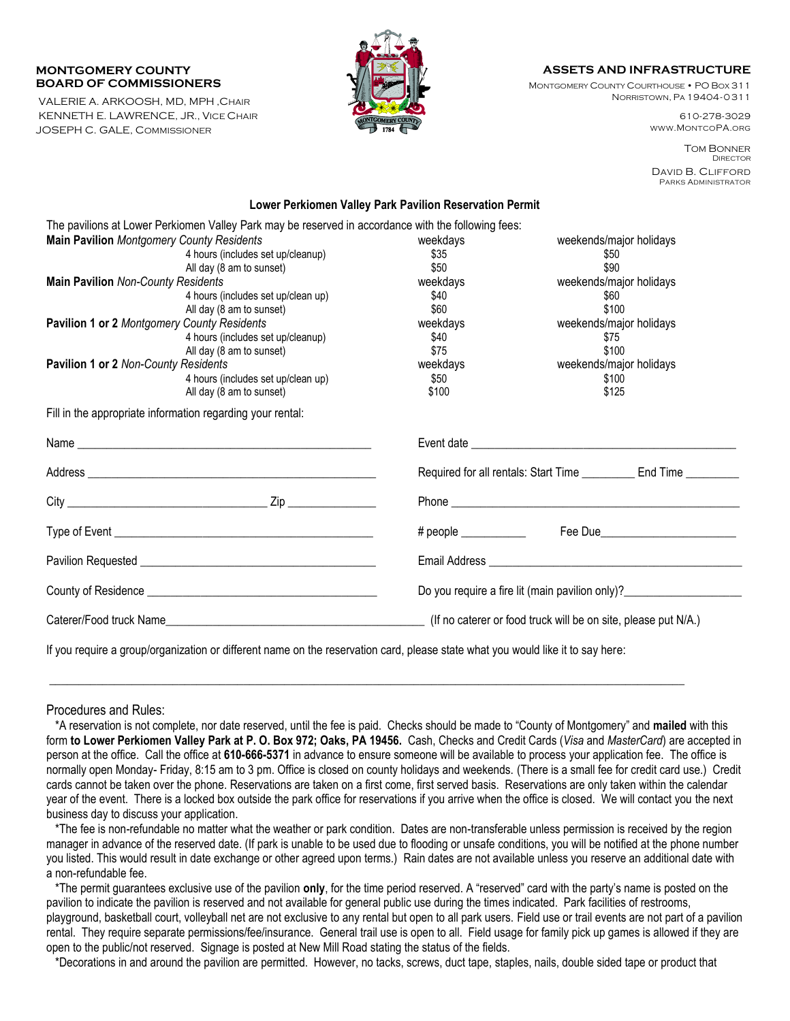## **MONTGOMERY COUNTY BOARD OF COMMISSIONERS**

VALERIE A. ARKOOSH, MD, MPH ,CHAIR KENNETH E. LAWRENCE, JR., VICE CHAIR JOSEPH C. GALE, COMMISSIONER



## **ASSETS AND INFRASTRUCTURE**

MONTGOMERY COUNTY COURTHOUSE • PO BOX 311 NORRISTOWN, PA 19404-0311

> 610-278-3029 WWW.MONTCOPA.ORG

TOM BONNER **DIRECTOR** DAVID B. CLIFFORD PARKS ADMINISTRATOR

## **Lower Perkiomen Valley Park Pavilion Reservation Permit**

| The pavilions at Lower Perkiomen Valley Park may be reserved in accordance with the following fees:                             |                                                                                  |                                                                   |  |  |
|---------------------------------------------------------------------------------------------------------------------------------|----------------------------------------------------------------------------------|-------------------------------------------------------------------|--|--|
| <b>Main Pavilion Montgomery County Residents</b>                                                                                | weekdays                                                                         | weekends/major holidays                                           |  |  |
| 4 hours (includes set up/cleanup)                                                                                               | \$35                                                                             | \$50                                                              |  |  |
| All day (8 am to sunset)                                                                                                        | \$50                                                                             | \$90                                                              |  |  |
| Main Pavilion Non-County Residents                                                                                              | weekdays                                                                         | weekends/major holidays                                           |  |  |
| 4 hours (includes set up/clean up)                                                                                              | \$40                                                                             | \$60                                                              |  |  |
| All day (8 am to sunset)                                                                                                        | \$60                                                                             | \$100                                                             |  |  |
| Pavilion 1 or 2 Montgomery County Residents                                                                                     | weekdays                                                                         | weekends/major holidays                                           |  |  |
| 4 hours (includes set up/cleanup)                                                                                               | \$40                                                                             | \$75                                                              |  |  |
| All day (8 am to sunset)                                                                                                        | \$75                                                                             | \$100                                                             |  |  |
| Pavilion 1 or 2 Non-County Residents                                                                                            | weekdays                                                                         | weekends/major holidays                                           |  |  |
| 4 hours (includes set up/clean up)                                                                                              | \$50                                                                             | \$100                                                             |  |  |
| All day (8 am to sunset)                                                                                                        | \$100                                                                            | \$125                                                             |  |  |
| Fill in the appropriate information regarding your rental:                                                                      |                                                                                  |                                                                   |  |  |
|                                                                                                                                 |                                                                                  |                                                                   |  |  |
|                                                                                                                                 |                                                                                  | Required for all rentals: Start Time __________ End Time ________ |  |  |
|                                                                                                                                 |                                                                                  |                                                                   |  |  |
|                                                                                                                                 |                                                                                  |                                                                   |  |  |
|                                                                                                                                 |                                                                                  |                                                                   |  |  |
|                                                                                                                                 | Do you require a fire lit (main pavilion only)?_________________________________ |                                                                   |  |  |
| Caterer/Food truck Name                                                                                                         | (If no caterer or food truck will be on site, please put N/A.)                   |                                                                   |  |  |
| If you require a group/organization or different name on the reservation card, please state what you would like it to say here: |                                                                                  |                                                                   |  |  |

Procedures and Rules:

 \*A reservation is not complete, nor date reserved, until the fee is paid. Checks should be made to "County of Montgomery" and **mailed** with this form **to Lower Perkiomen Valley Park at P. O. Box 972; Oaks, PA 19456.** Cash, Checks and Credit Cards (*Visa* and *MasterCard*) are accepted in person at the office. Call the office at **610-666-5371** in advance to ensure someone will be available to process your application fee. The office is normally open Monday- Friday, 8:15 am to 3 pm. Office is closed on county holidays and weekends. (There is a small fee for credit card use.) Credit cards cannot be taken over the phone. Reservations are taken on a first come, first served basis. Reservations are only taken within the calendar year of the event. There is a locked box outside the park office for reservations if you arrive when the office is closed. We will contact you the next business day to discuss your application.

\_\_\_\_\_\_\_\_\_\_\_\_\_\_\_\_\_\_\_\_\_\_\_\_\_\_\_\_\_\_\_\_\_\_\_\_\_\_\_\_\_\_\_\_\_\_\_\_\_\_\_\_\_\_\_\_\_\_\_\_\_\_\_\_\_\_\_\_\_\_\_\_\_\_\_\_\_\_\_\_\_\_\_\_\_\_\_\_\_\_\_\_\_\_\_\_\_\_\_\_\_\_\_\_\_\_\_\_

 \*The fee is non-refundable no matter what the weather or park condition. Dates are non-transferable unless permission is received by the region manager in advance of the reserved date. (If park is unable to be used due to flooding or unsafe conditions, you will be notified at the phone number you listed. This would result in date exchange or other agreed upon terms.) Rain dates are not available unless you reserve an additional date with a non-refundable fee.

 \*The permit guarantees exclusive use of the pavilion **only**, for the time period reserved. A "reserved" card with the party's name is posted on the pavilion to indicate the pavilion is reserved and not available for general public use during the times indicated. Park facilities of restrooms, playground, basketball court, volleyball net are not exclusive to any rental but open to all park users. Field use or trail events are not part of a pavilion

rental. They require separate permissions/fee/insurance. General trail use is open to all. Field usage for family pick up games is allowed if they are open to the public/not reserved. Signage is posted at New Mill Road stating the status of the fields.

\*Decorations in and around the pavilion are permitted. However, no tacks, screws, duct tape, staples, nails, double sided tape or product that